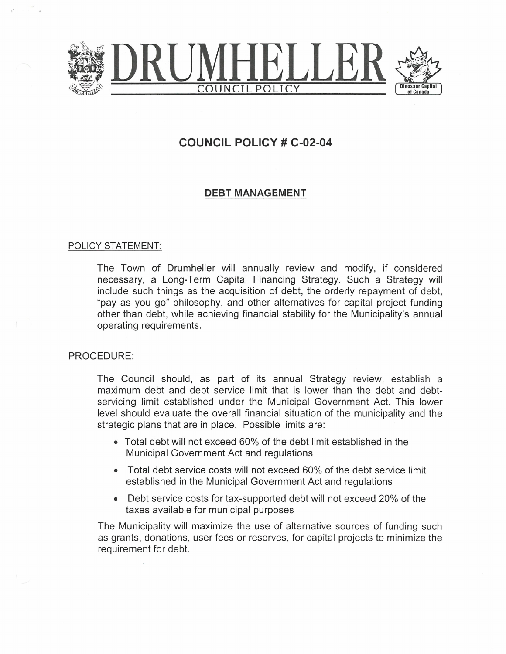

## COUNCIL POLICY # C-02-04

## DEBT MANAGEMENT

## POLICY STATEMENT:

The Town of Drumheller will annually review and modify, if considered necessary, a Long-Term Capital Financing Strategy. Such a Strategy will include such things as the acquisition of debt, the orderly repayment of debt, "pay as you go" philosophy, and other alternatives for capital project funding other than debt, while achieving financial stability for the Municipality's annual operating requirements.

## PROCEDURE:

The Council should, as part of its annual Strategy review, establish a maximum debt and debt service limit that is lower than the debt and debtservicing limit established under the Municipal Government Act. This lower level should evaluate the overall financial situation of the municipality and the strategic plans that are in place. Possible limits are:

- Total debt will not exceed 60% of the debt limit established in the Municipal Government Act and regulations
- Total debt service costs will not exceed 60% of the debt service limit established in the Municipal Government Act and regulations
- Debt service costs for tax-supported debt will not exceed 20% of the taxes available for municipal purposes

The Municipality will maximize the use of alternative sources of funding such as grants, donations, user fees or reserves, for capital projects to minimize the requirement for debt.